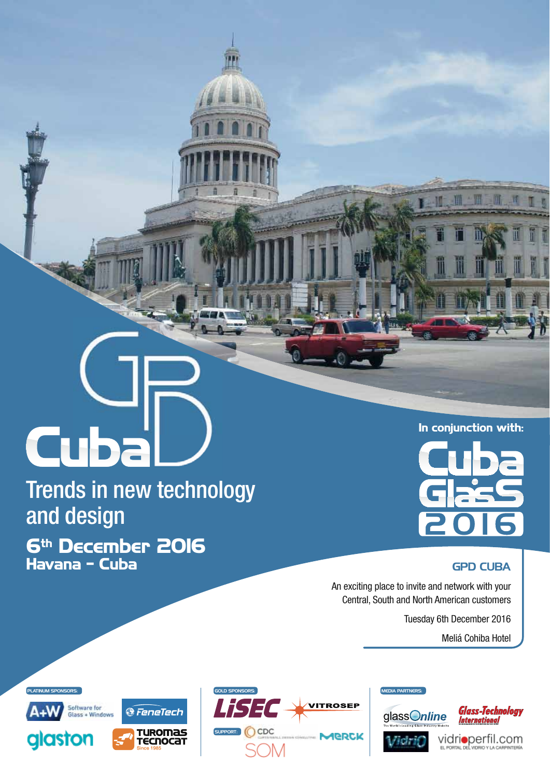# **Cuba**

Trends in new technology and design **6th December 2016**

**Havana - Cuba**



**In conjunction with:**

# GPD CUBA

An exciting place to invite and network with your Central, South and North American customers

Tuesday 6th December 2016

Meliá Cohiba Hotel







Vicinio



Vidrioperfil.com